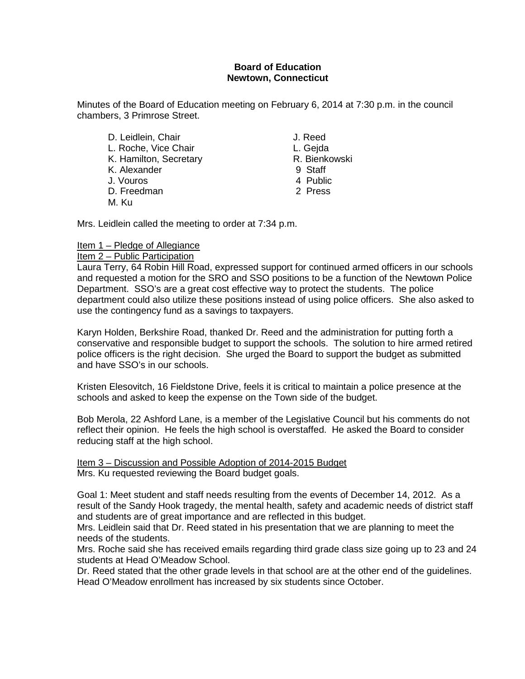## **Board of Education Newtown, Connecticut**

Minutes of the Board of Education meeting on February 6, 2014 at 7:30 p.m. in the council chambers, 3 Primrose Street.

D. Leidlein, Chair **J. Reed** L. Roche, Vice Chair **L. Geida** K. Hamilton, Secretary **R. Bienkowski** K. Alexander 8 9 Staff<br>
U. Vouros 8 9 Staff J. Vouros D. Freedman 2 Press M. Ku

Mrs. Leidlein called the meeting to order at 7:34 p.m.

## Item 1 – Pledge of Allegiance

### Item 2 – Public Participation

Laura Terry, 64 Robin Hill Road, expressed support for continued armed officers in our schools and requested a motion for the SRO and SSO positions to be a function of the Newtown Police Department. SSO's are a great cost effective way to protect the students. The police department could also utilize these positions instead of using police officers. She also asked to use the contingency fund as a savings to taxpayers.

Karyn Holden, Berkshire Road, thanked Dr. Reed and the administration for putting forth a conservative and responsible budget to support the schools. The solution to hire armed retired police officers is the right decision. She urged the Board to support the budget as submitted and have SSO's in our schools.

Kristen Elesovitch, 16 Fieldstone Drive, feels it is critical to maintain a police presence at the schools and asked to keep the expense on the Town side of the budget.

Bob Merola, 22 Ashford Lane, is a member of the Legislative Council but his comments do not reflect their opinion. He feels the high school is overstaffed. He asked the Board to consider reducing staff at the high school.

Item 3 – Discussion and Possible Adoption of 2014-2015 Budget Mrs. Ku requested reviewing the Board budget goals.

Goal 1: Meet student and staff needs resulting from the events of December 14, 2012. As a result of the Sandy Hook tragedy, the mental health, safety and academic needs of district staff and students are of great importance and are reflected in this budget.

Mrs. Leidlein said that Dr. Reed stated in his presentation that we are planning to meet the needs of the students.

Mrs. Roche said she has received emails regarding third grade class size going up to 23 and 24 students at Head O'Meadow School.

Dr. Reed stated that the other grade levels in that school are at the other end of the guidelines. Head O'Meadow enrollment has increased by six students since October.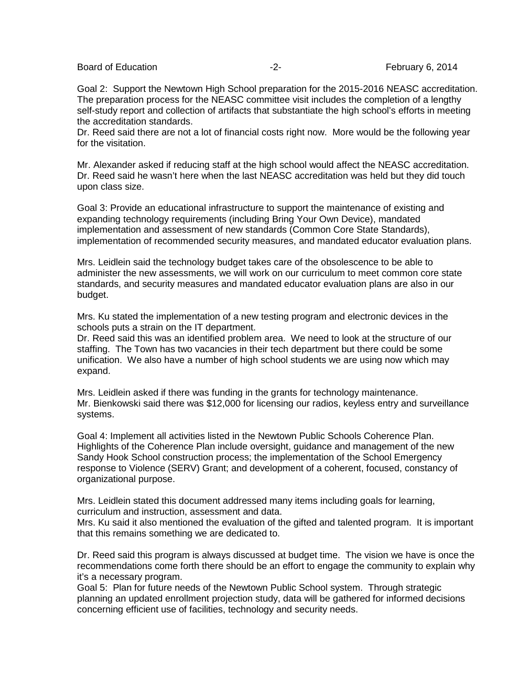Board of Education **-2-** February 6, 2014

Goal 2: Support the Newtown High School preparation for the 2015-2016 NEASC accreditation. The preparation process for the NEASC committee visit includes the completion of a lengthy self-study report and collection of artifacts that substantiate the high school's efforts in meeting the accreditation standards.

Dr. Reed said there are not a lot of financial costs right now. More would be the following year for the visitation.

Mr. Alexander asked if reducing staff at the high school would affect the NEASC accreditation. Dr. Reed said he wasn't here when the last NEASC accreditation was held but they did touch upon class size.

Goal 3: Provide an educational infrastructure to support the maintenance of existing and expanding technology requirements (including Bring Your Own Device), mandated implementation and assessment of new standards (Common Core State Standards), implementation of recommended security measures, and mandated educator evaluation plans.

Mrs. Leidlein said the technology budget takes care of the obsolescence to be able to administer the new assessments, we will work on our curriculum to meet common core state standards, and security measures and mandated educator evaluation plans are also in our budget.

Mrs. Ku stated the implementation of a new testing program and electronic devices in the schools puts a strain on the IT department.

Dr. Reed said this was an identified problem area. We need to look at the structure of our staffing. The Town has two vacancies in their tech department but there could be some unification. We also have a number of high school students we are using now which may expand.

Mrs. Leidlein asked if there was funding in the grants for technology maintenance. Mr. Bienkowski said there was \$12,000 for licensing our radios, keyless entry and surveillance systems.

Goal 4: Implement all activities listed in the Newtown Public Schools Coherence Plan. Highlights of the Coherence Plan include oversight, guidance and management of the new Sandy Hook School construction process; the implementation of the School Emergency response to Violence (SERV) Grant; and development of a coherent, focused, constancy of organizational purpose.

Mrs. Leidlein stated this document addressed many items including goals for learning, curriculum and instruction, assessment and data.

Mrs. Ku said it also mentioned the evaluation of the gifted and talented program. It is important that this remains something we are dedicated to.

Dr. Reed said this program is always discussed at budget time. The vision we have is once the recommendations come forth there should be an effort to engage the community to explain why it's a necessary program.

Goal 5: Plan for future needs of the Newtown Public School system. Through strategic planning an updated enrollment projection study, data will be gathered for informed decisions concerning efficient use of facilities, technology and security needs.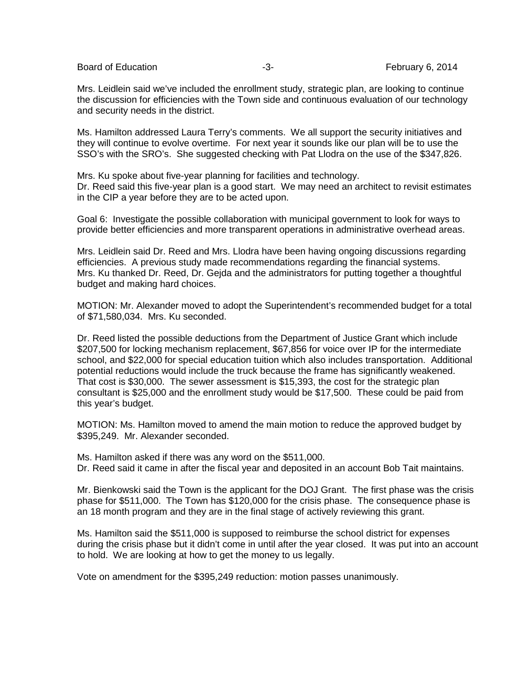Board of Education **Francisco Contract Contract Contract Contract Contract Contract Contract Contract Contract Contract Contract Contract Contract Contract Contract Contract Contract Contract Contract Contract Contract Con** 

Mrs. Leidlein said we've included the enrollment study, strategic plan, are looking to continue the discussion for efficiencies with the Town side and continuous evaluation of our technology and security needs in the district.

Ms. Hamilton addressed Laura Terry's comments. We all support the security initiatives and they will continue to evolve overtime. For next year it sounds like our plan will be to use the SSO's with the SRO's. She suggested checking with Pat Llodra on the use of the \$347,826.

Mrs. Ku spoke about five-year planning for facilities and technology. Dr. Reed said this five-year plan is a good start. We may need an architect to revisit estimates in the CIP a year before they are to be acted upon.

Goal 6: Investigate the possible collaboration with municipal government to look for ways to provide better efficiencies and more transparent operations in administrative overhead areas.

Mrs. Leidlein said Dr. Reed and Mrs. Llodra have been having ongoing discussions regarding efficiencies. A previous study made recommendations regarding the financial systems. Mrs. Ku thanked Dr. Reed, Dr. Gejda and the administrators for putting together a thoughtful budget and making hard choices.

MOTION: Mr. Alexander moved to adopt the Superintendent's recommended budget for a total of \$71,580,034. Mrs. Ku seconded.

Dr. Reed listed the possible deductions from the Department of Justice Grant which include \$207,500 for locking mechanism replacement, \$67,856 for voice over IP for the intermediate school, and \$22,000 for special education tuition which also includes transportation. Additional potential reductions would include the truck because the frame has significantly weakened. That cost is \$30,000. The sewer assessment is \$15,393, the cost for the strategic plan consultant is \$25,000 and the enrollment study would be \$17,500. These could be paid from this year's budget.

MOTION: Ms. Hamilton moved to amend the main motion to reduce the approved budget by \$395,249. Mr. Alexander seconded.

Ms. Hamilton asked if there was any word on the \$511,000. Dr. Reed said it came in after the fiscal year and deposited in an account Bob Tait maintains.

Mr. Bienkowski said the Town is the applicant for the DOJ Grant. The first phase was the crisis phase for \$511,000. The Town has \$120,000 for the crisis phase. The consequence phase is an 18 month program and they are in the final stage of actively reviewing this grant.

Ms. Hamilton said the \$511,000 is supposed to reimburse the school district for expenses during the crisis phase but it didn't come in until after the year closed. It was put into an account to hold. We are looking at how to get the money to us legally.

Vote on amendment for the \$395,249 reduction: motion passes unanimously.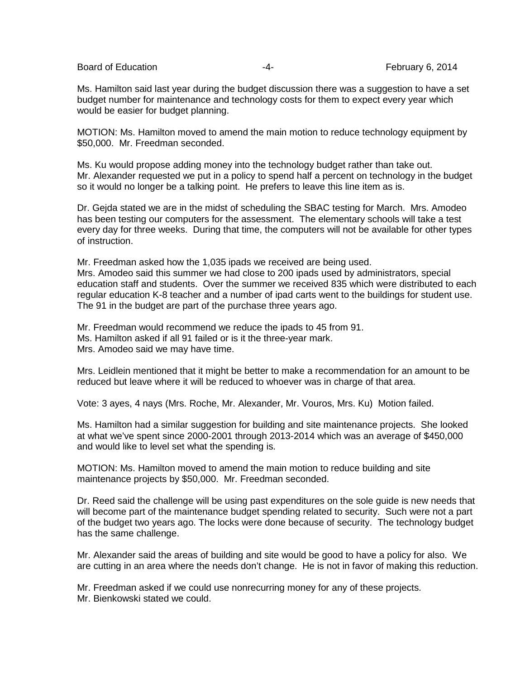Board of Education **February 6, 2014** -4- February 6, 2014

Ms. Hamilton said last year during the budget discussion there was a suggestion to have a set budget number for maintenance and technology costs for them to expect every year which would be easier for budget planning.

MOTION: Ms. Hamilton moved to amend the main motion to reduce technology equipment by \$50,000. Mr. Freedman seconded.

Ms. Ku would propose adding money into the technology budget rather than take out. Mr. Alexander requested we put in a policy to spend half a percent on technology in the budget so it would no longer be a talking point. He prefers to leave this line item as is.

Dr. Gejda stated we are in the midst of scheduling the SBAC testing for March. Mrs. Amodeo has been testing our computers for the assessment. The elementary schools will take a test every day for three weeks. During that time, the computers will not be available for other types of instruction.

Mr. Freedman asked how the 1,035 ipads we received are being used. Mrs. Amodeo said this summer we had close to 200 ipads used by administrators, special education staff and students. Over the summer we received 835 which were distributed to each regular education K-8 teacher and a number of ipad carts went to the buildings for student use. The 91 in the budget are part of the purchase three years ago.

Mr. Freedman would recommend we reduce the ipads to 45 from 91. Ms. Hamilton asked if all 91 failed or is it the three-year mark. Mrs. Amodeo said we may have time.

Mrs. Leidlein mentioned that it might be better to make a recommendation for an amount to be reduced but leave where it will be reduced to whoever was in charge of that area.

Vote: 3 ayes, 4 nays (Mrs. Roche, Mr. Alexander, Mr. Vouros, Mrs. Ku) Motion failed.

Ms. Hamilton had a similar suggestion for building and site maintenance projects. She looked at what we've spent since 2000-2001 through 2013-2014 which was an average of \$450,000 and would like to level set what the spending is.

MOTION: Ms. Hamilton moved to amend the main motion to reduce building and site maintenance projects by \$50,000. Mr. Freedman seconded.

Dr. Reed said the challenge will be using past expenditures on the sole guide is new needs that will become part of the maintenance budget spending related to security. Such were not a part of the budget two years ago. The locks were done because of security. The technology budget has the same challenge.

Mr. Alexander said the areas of building and site would be good to have a policy for also. We are cutting in an area where the needs don't change. He is not in favor of making this reduction.

Mr. Freedman asked if we could use nonrecurring money for any of these projects. Mr. Bienkowski stated we could.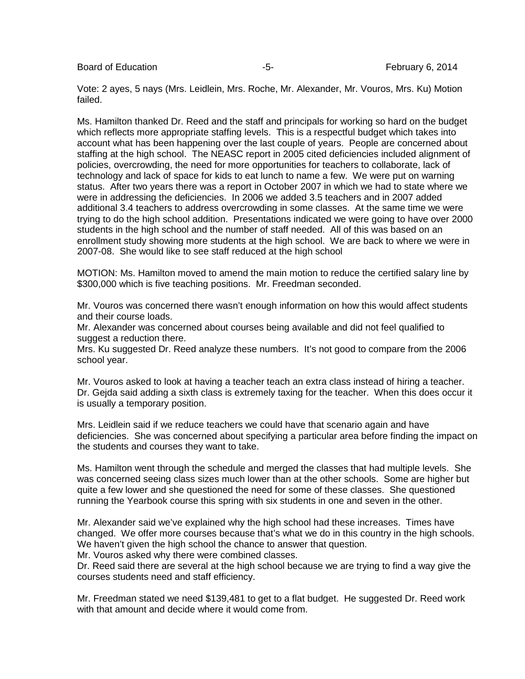Board of Education **Franchise Contract Contract Contract Contract Contract Contract Contract Contract Contract Contract Contract Contract Contract Contract Contract Contract Contract Contract Contract Contract Contract Con** 

Vote: 2 ayes, 5 nays (Mrs. Leidlein, Mrs. Roche, Mr. Alexander, Mr. Vouros, Mrs. Ku) Motion failed.

Ms. Hamilton thanked Dr. Reed and the staff and principals for working so hard on the budget which reflects more appropriate staffing levels. This is a respectful budget which takes into account what has been happening over the last couple of years. People are concerned about staffing at the high school. The NEASC report in 2005 cited deficiencies included alignment of policies, overcrowding, the need for more opportunities for teachers to collaborate, lack of technology and lack of space for kids to eat lunch to name a few. We were put on warning status. After two years there was a report in October 2007 in which we had to state where we were in addressing the deficiencies. In 2006 we added 3.5 teachers and in 2007 added additional 3.4 teachers to address overcrowding in some classes. At the same time we were trying to do the high school addition. Presentations indicated we were going to have over 2000 students in the high school and the number of staff needed. All of this was based on an enrollment study showing more students at the high school. We are back to where we were in 2007-08. She would like to see staff reduced at the high school

MOTION: Ms. Hamilton moved to amend the main motion to reduce the certified salary line by \$300,000 which is five teaching positions. Mr. Freedman seconded.

Mr. Vouros was concerned there wasn't enough information on how this would affect students and their course loads.

Mr. Alexander was concerned about courses being available and did not feel qualified to suggest a reduction there.

Mrs. Ku suggested Dr. Reed analyze these numbers. It's not good to compare from the 2006 school year.

Mr. Vouros asked to look at having a teacher teach an extra class instead of hiring a teacher. Dr. Gejda said adding a sixth class is extremely taxing for the teacher. When this does occur it is usually a temporary position.

Mrs. Leidlein said if we reduce teachers we could have that scenario again and have deficiencies. She was concerned about specifying a particular area before finding the impact on the students and courses they want to take.

Ms. Hamilton went through the schedule and merged the classes that had multiple levels. She was concerned seeing class sizes much lower than at the other schools. Some are higher but quite a few lower and she questioned the need for some of these classes. She questioned running the Yearbook course this spring with six students in one and seven in the other.

Mr. Alexander said we've explained why the high school had these increases. Times have changed. We offer more courses because that's what we do in this country in the high schools. We haven't given the high school the chance to answer that question.

Mr. Vouros asked why there were combined classes.

Dr. Reed said there are several at the high school because we are trying to find a way give the courses students need and staff efficiency.

Mr. Freedman stated we need \$139,481 to get to a flat budget. He suggested Dr. Reed work with that amount and decide where it would come from.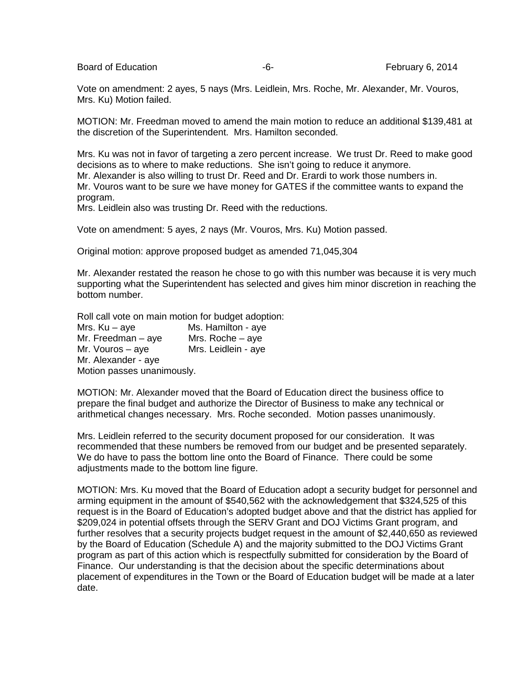Board of Education **Francisco Community** Control Control of Education **February 6, 2014** 

Vote on amendment: 2 ayes, 5 nays (Mrs. Leidlein, Mrs. Roche, Mr. Alexander, Mr. Vouros, Mrs. Ku) Motion failed.

MOTION: Mr. Freedman moved to amend the main motion to reduce an additional \$139,481 at the discretion of the Superintendent. Mrs. Hamilton seconded.

Mrs. Ku was not in favor of targeting a zero percent increase. We trust Dr. Reed to make good decisions as to where to make reductions. She isn't going to reduce it anymore. Mr. Alexander is also willing to trust Dr. Reed and Dr. Erardi to work those numbers in. Mr. Vouros want to be sure we have money for GATES if the committee wants to expand the program.

Mrs. Leidlein also was trusting Dr. Reed with the reductions.

Vote on amendment: 5 ayes, 2 nays (Mr. Vouros, Mrs. Ku) Motion passed.

Original motion: approve proposed budget as amended 71,045,304

Mr. Alexander restated the reason he chose to go with this number was because it is very much supporting what the Superintendent has selected and gives him minor discretion in reaching the bottom number.

Roll call vote on main motion for budget adoption: Mrs.  $Ku - ave$  Ms. Hamilton - aye Mr. Freedman – aye Mrs. Roche – aye Mr. Vouros – aye Mrs. Leidlein - aye Mr. Alexander - aye Motion passes unanimously.

MOTION: Mr. Alexander moved that the Board of Education direct the business office to prepare the final budget and authorize the Director of Business to make any technical or arithmetical changes necessary. Mrs. Roche seconded. Motion passes unanimously.

Mrs. Leidlein referred to the security document proposed for our consideration. It was recommended that these numbers be removed from our budget and be presented separately. We do have to pass the bottom line onto the Board of Finance. There could be some adjustments made to the bottom line figure.

MOTION: Mrs. Ku moved that the Board of Education adopt a security budget for personnel and arming equipment in the amount of \$540,562 with the acknowledgement that \$324,525 of this request is in the Board of Education's adopted budget above and that the district has applied for \$209,024 in potential offsets through the SERV Grant and DOJ Victims Grant program, and further resolves that a security projects budget request in the amount of \$2,440,650 as reviewed by the Board of Education (Schedule A) and the majority submitted to the DOJ Victims Grant program as part of this action which is respectfully submitted for consideration by the Board of Finance. Our understanding is that the decision about the specific determinations about placement of expenditures in the Town or the Board of Education budget will be made at a later date.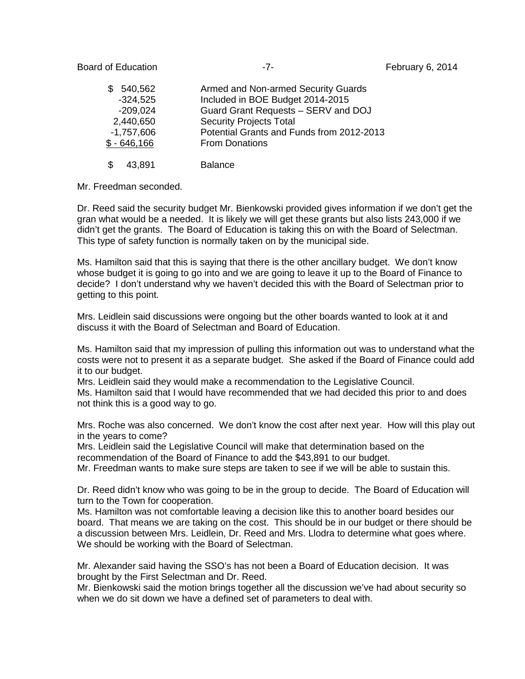Board of Education **Example 2014** -7- February 6, 2014

| \$540,562      | Armed and Non-armed Security Guards       |
|----------------|-------------------------------------------|
| $-324,525$     | Included in BOE Budget 2014-2015          |
| $-209,024$     | Guard Grant Requests - SERV and DOJ       |
| 2,440,650      | <b>Security Projects Total</b>            |
| $-1,757,606$   | Potential Grants and Funds from 2012-2013 |
| $$ - 646, 166$ | <b>From Donations</b>                     |
|                |                                           |
| 43.891         | <b>Balance</b>                            |

### Mr. Freedman seconded.

Dr. Reed said the security budget Mr. Bienkowski provided gives information if we don't get the gran what would be a needed. It is likely we will get these grants but also lists 243,000 if we didn't get the grants. The Board of Education is taking this on with the Board of Selectman. This type of safety function is normally taken on by the municipal side.

Ms. Hamilton said that this is saying that there is the other ancillary budget. We don't know whose budget it is going to go into and we are going to leave it up to the Board of Finance to decide? I don't understand why we haven't decided this with the Board of Selectman prior to getting to this point.

Mrs. Leidlein said discussions were ongoing but the other boards wanted to look at it and discuss it with the Board of Selectman and Board of Education.

Ms. Hamilton said that my impression of pulling this information out was to understand what the costs were not to present it as a separate budget. She asked if the Board of Finance could add it to our budget.

Mrs. Leidlein said they would make a recommendation to the Legislative Council. Ms. Hamilton said that I would have recommended that we had decided this prior to and does not think this is a good way to go.

Mrs. Roche was also concerned. We don't know the cost after next year. How will this play out in the years to come?

Mrs. Leidlein said the Legislative Council will make that determination based on the recommendation of the Board of Finance to add the \$43,891 to our budget. Mr. Freedman wants to make sure steps are taken to see if we will be able to sustain this.

Dr. Reed didn't know who was going to be in the group to decide. The Board of Education will turn to the Town for cooperation.

Ms. Hamilton was not comfortable leaving a decision like this to another board besides our board. That means we are taking on the cost. This should be in our budget or there should be a discussion between Mrs. Leidlein, Dr. Reed and Mrs. Llodra to determine what goes where. We should be working with the Board of Selectman.

Mr. Alexander said having the SSO's has not been a Board of Education decision. It was brought by the First Selectman and Dr. Reed.

Mr. Bienkowski said the motion brings together all the discussion we've had about security so when we do sit down we have a defined set of parameters to deal with.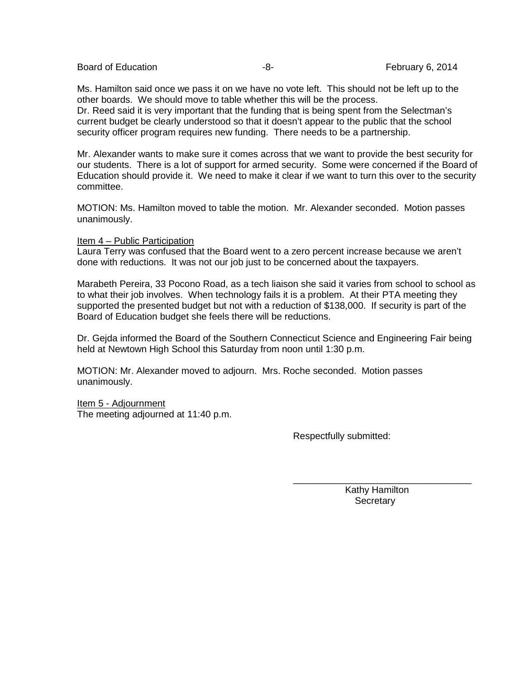Board of Education **-8-** February 6, 2014

Ms. Hamilton said once we pass it on we have no vote left. This should not be left up to the other boards. We should move to table whether this will be the process.

Dr. Reed said it is very important that the funding that is being spent from the Selectman's current budget be clearly understood so that it doesn't appear to the public that the school security officer program requires new funding. There needs to be a partnership.

Mr. Alexander wants to make sure it comes across that we want to provide the best security for our students. There is a lot of support for armed security. Some were concerned if the Board of Education should provide it. We need to make it clear if we want to turn this over to the security committee.

MOTION: Ms. Hamilton moved to table the motion. Mr. Alexander seconded. Motion passes unanimously.

Item 4 – Public Participation

Laura Terry was confused that the Board went to a zero percent increase because we aren't done with reductions. It was not our job just to be concerned about the taxpayers.

Marabeth Pereira, 33 Pocono Road, as a tech liaison she said it varies from school to school as to what their job involves. When technology fails it is a problem. At their PTA meeting they supported the presented budget but not with a reduction of \$138,000. If security is part of the Board of Education budget she feels there will be reductions.

Dr. Gejda informed the Board of the Southern Connecticut Science and Engineering Fair being held at Newtown High School this Saturday from noon until 1:30 p.m.

MOTION: Mr. Alexander moved to adjourn. Mrs. Roche seconded. Motion passes unanimously.

Item 5 - Adjournment The meeting adjourned at 11:40 p.m.

Respectfully submitted:

 Kathy Hamilton **Secretary** 

\_\_\_\_\_\_\_\_\_\_\_\_\_\_\_\_\_\_\_\_\_\_\_\_\_\_\_\_\_\_\_\_\_\_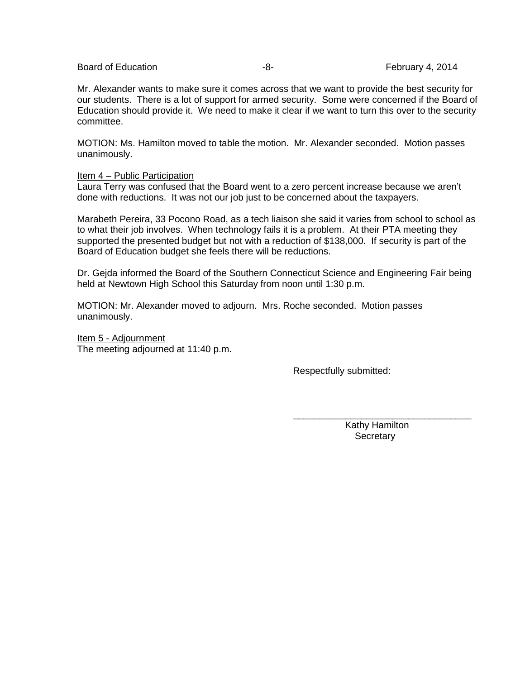Board of Education **-8-** February 4, 2014

Mr. Alexander wants to make sure it comes across that we want to provide the best security for our students. There is a lot of support for armed security. Some were concerned if the Board of Education should provide it. We need to make it clear if we want to turn this over to the security committee.

MOTION: Ms. Hamilton moved to table the motion. Mr. Alexander seconded. Motion passes unanimously.

### Item 4 – Public Participation

Laura Terry was confused that the Board went to a zero percent increase because we aren't done with reductions. It was not our job just to be concerned about the taxpayers.

Marabeth Pereira, 33 Pocono Road, as a tech liaison she said it varies from school to school as to what their job involves. When technology fails it is a problem. At their PTA meeting they supported the presented budget but not with a reduction of \$138,000. If security is part of the Board of Education budget she feels there will be reductions.

Dr. Gejda informed the Board of the Southern Connecticut Science and Engineering Fair being held at Newtown High School this Saturday from noon until 1:30 p.m.

MOTION: Mr. Alexander moved to adjourn. Mrs. Roche seconded. Motion passes unanimously.

Item 5 - Adjournment

The meeting adjourned at 11:40 p.m.

Respectfully submitted:

\_\_\_\_\_\_\_\_\_\_\_\_\_\_\_\_\_\_\_\_\_\_\_\_\_\_\_\_\_\_\_\_\_\_ Kathy Hamilton **Secretary**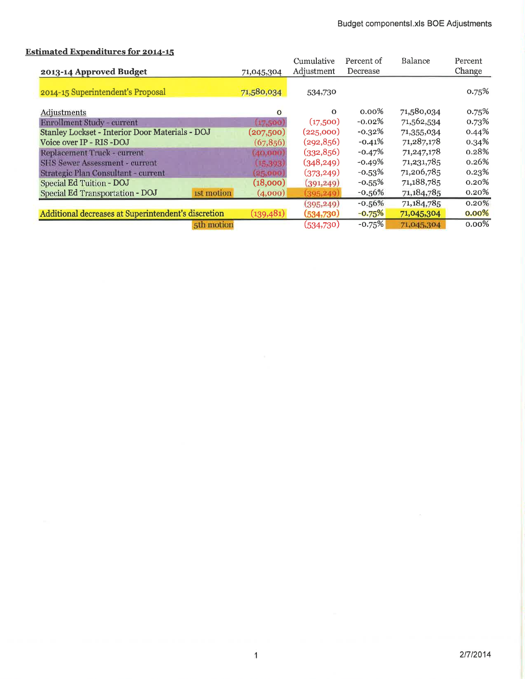# **Estimated Expenditures for 2014-15**

|                                                     |            |            | Cumulative | Percent of | Balance    | Percent  |
|-----------------------------------------------------|------------|------------|------------|------------|------------|----------|
| 2013-14 Approved Budget                             |            | 71,045,304 | Adjustment | Decrease   |            | Change   |
|                                                     |            |            |            |            |            |          |
| 2014-15 Superintendent's Proposal                   |            | 71,580,034 | 534,730    |            |            | 0.75%    |
|                                                     |            |            |            |            |            |          |
| Adjustments                                         |            | $\Omega$   | $\Omega$   | $0.00\%$   | 71,580,034 | 0.75%    |
| Enrollment Study - current                          |            | (17,500)   | (17,500)   | $-0.02\%$  | 71,562,534 | 0.73%    |
| Stanley Lockset - Interior Door Materials - DOJ     |            | (207,500)  | (225,000)  | $-0.32%$   | 71,355,034 | 0.44%    |
| Voice over IP - RIS - DOJ                           |            | (67, 856)  | (292, 856) | $-0.41%$   | 71,287,178 | 0.34%    |
| Replacement Truck - current                         |            | (40,000)   | (332,856)  | $-0.47\%$  | 71,247,178 | 0.28%    |
| <b>SHS Sewer Assessment - current</b>               |            | (15, 393)  | (348, 249) | $-0.49\%$  | 71,231,785 | 0.26%    |
| Strategic Plan Consultant - current                 |            | (25,000)   | (373, 249) | $-0.53\%$  | 71,206,785 | 0.23%    |
| Special Ed Tuition - DOJ                            |            | (18,000)   | (391,249)  | $-0.55\%$  | 71,188,785 | 0.20%    |
| Special Ed Transportation - DOJ                     | ist motion | (4,000)    | (395.249)  | $-0.56%$   | 71,184,785 | 0.20%    |
|                                                     |            |            | (395, 249) | $-0.56%$   | 71,184,785 | 0.20%    |
| Additional decreases at Superintendent's discretion |            | (139, 481) | (534,730)  | $-0.75%$   | 71,045,304 | $0.00\%$ |
|                                                     | 5th motion |            | (534,730)  | $-0.75%$   | 71,045,304 | $0.00\%$ |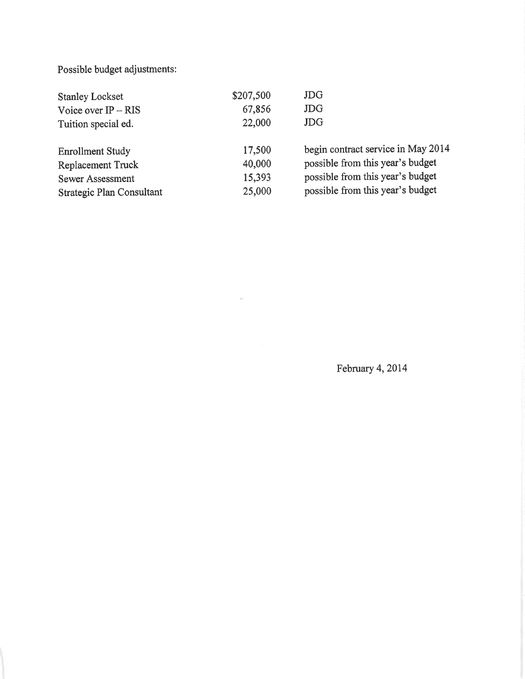# Possible budget adjustments:

| <b>Stanley Lockset</b>    | \$207,500 | <b>JDG</b>                         |
|---------------------------|-----------|------------------------------------|
| Voice over $IP - RIS$     | 67,856    | <b>JDG</b>                         |
| Tuition special ed.       | 22,000    | <b>JDG</b>                         |
| <b>Enrollment Study</b>   | 17,500    | begin contract service in May 2014 |
| <b>Replacement Truck</b>  | 40,000    | possible from this year's budget   |
| <b>Sewer Assessment</b>   | 15,393    | possible from this year's budget   |
| Strategic Plan Consultant | 25,000    | possible from this year's budget   |

 $\sim 10$ 

February 4, 2014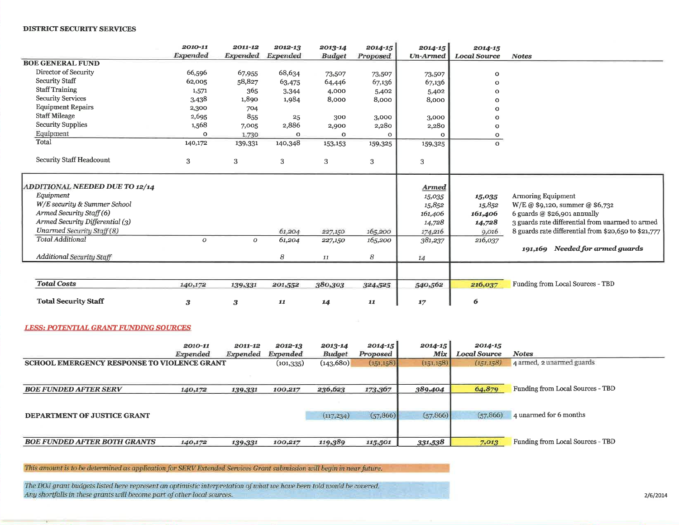#### DISTRICT SECURITY SERVICES

|                                  | 2010-11<br>Expended | 2011-12<br>Expended | 2012-13<br>Expended | 2013-14<br><b>Budget</b> | $2014 - 15$<br>Proposed | $2014 - 15$<br><b>Un-Armed</b> | 2014-15<br><b>Local Source</b> | <b>Notes</b>                                         |
|----------------------------------|---------------------|---------------------|---------------------|--------------------------|-------------------------|--------------------------------|--------------------------------|------------------------------------------------------|
| <b>BOE GENERAL FUND</b>          |                     |                     |                     |                          |                         |                                |                                |                                                      |
| Director of Security             | 66,596              | 67,955              | 68,634              | 73,507                   | 73,507                  | 73,507                         | $\circ$                        |                                                      |
| Security Staff                   | 62,005              | 58,827              | 63,475              | 64,446                   | 67,136                  | 67,136                         | $\Omega$                       |                                                      |
| <b>Staff Training</b>            | 1,571               | 365                 | 3,344               | 4,000                    | 5,402                   | 5,402                          | $\Omega$                       |                                                      |
| <b>Security Services</b>         | 3,438               | 1,890               | 1,984               | 8,000                    | 8,000                   | 8,000                          | $\Omega$                       |                                                      |
| <b>Equipment Repairs</b>         | 2,300               | 704                 |                     |                          |                         |                                | 0                              |                                                      |
| <b>Staff Mileage</b>             | 2,695               | 855                 | 25                  | 300                      | 3,000                   | 3,000                          | $\Omega$                       |                                                      |
| <b>Security Supplies</b>         | 1,568               | 7,005               | 2,886               | 2,900                    | 2,280                   | 2,280                          | O                              |                                                      |
| Equipment                        | 0                   | 1,730               | $\mathbf 0$         | O                        | 0                       | $\Omega$                       | 0                              |                                                      |
| Total                            | 140,172             | 139,331             | 140,348             | 153,153                  | 159,325                 | 159,325                        | $\Omega$                       |                                                      |
| Security Staff Headcount         | 3                   | 3                   | 3                   | 3                        | 3                       | 3                              |                                |                                                      |
| ADDITIONAL NEEDED DUE TO 12/14   |                     |                     |                     |                          |                         | Armed                          |                                |                                                      |
| Equipment                        |                     |                     |                     |                          |                         | 15,035                         | 15,035                         | <b>Armoring Equipment</b>                            |
| W/E security & Summer School     |                     |                     |                     |                          |                         | 15,852                         | 15,852                         | $W/E @ $9,120,$ summer @ \$6,732                     |
| Armed Security Staff (6)         |                     |                     |                     |                          |                         | 161,406                        | 161,406                        | 6 guards $@$ \$26,901 annually                       |
| Armed Security Differential (3)  |                     |                     |                     |                          |                         | 14,728                         | 14,728                         | 3 guards rate differential from unarmed to armed     |
| Unarmed Security Staff (8)       |                     |                     | 61,204              | 227,150                  | 165,200                 | 174,216                        | 9,016                          | 8 guards rate differential from \$20,650 to \$21,777 |
| <b>Total Additional</b>          | $\overline{O}$      | $\overline{O}$      | 61,204              | 227,150                  | 165,200                 | 381,237                        | 216,037                        |                                                      |
|                                  |                     |                     |                     |                          |                         |                                |                                | Needed for armed guards<br>191.169                   |
| <b>Additional Security Staff</b> |                     |                     | 8                   | 11                       | 8                       | 14                             |                                |                                                      |
|                                  |                     |                     |                     |                          |                         |                                |                                |                                                      |
| <b>Total Costs</b>               | 140,172             | 139,331             | 201,552             | 380,303                  | 324,525                 | 540,562                        | 216,037                        | Funding from Local Sources - TBD                     |
| <b>Total Security Staff</b>      | 3                   | 3                   | 11                  | 14                       | 11                      | 17                             | 6                              |                                                      |

#### **LESS: POTENTIAL GRANT FUNDING SOURCES**

1950

|                                                    | 2010-11<br>Expended | 2011-12<br>Expended | 2012-13<br>Expended | 2013-14<br><b>Budget</b> | $2014 - 15$<br>Proposed | $2014 - 15$<br>Mix | 2014-15<br><b>Local Source</b> | <b>Notes</b>                     |
|----------------------------------------------------|---------------------|---------------------|---------------------|--------------------------|-------------------------|--------------------|--------------------------------|----------------------------------|
| <b>SCHOOL EMERGENCY RESPONSE TO VIOLENCE GRANT</b> |                     |                     | (101, 335)          | (143, 680)               | (151, 158)              | (151, 158)         | (151, 158)                     | 4 armed, 2 unarmed guards        |
| <b>BOE FUNDED AFTER SERV</b>                       | 140,172             | 139,331             | 100,217             | 236,623                  | 173,367                 | 389,404            | 64,879                         | Funding from Local Sources - TBD |
| <b>DEPARTMENT OF JUSTICE GRANT</b>                 |                     |                     |                     | (117, 234)               | (57, 866)               | (57, 866)          | (57, 866)                      | 4 unarmed for 6 months           |
| <b>BOE FUNDED AFTER BOTH GRANTS</b>                | 140,172             | 139,331             | 100,217             | 119,389                  | 115,501                 | 331,538            | 7,013                          | Funding from Local Sources - TBD |

This amount is to be determined as application for SERV Extended Services Grant submission will begin in near future.

The DOJ grant budgets listed here represent an optimistic interpretation of what we have been told would be covered.<br>Any shortfalls in these grants will become part of other local sources.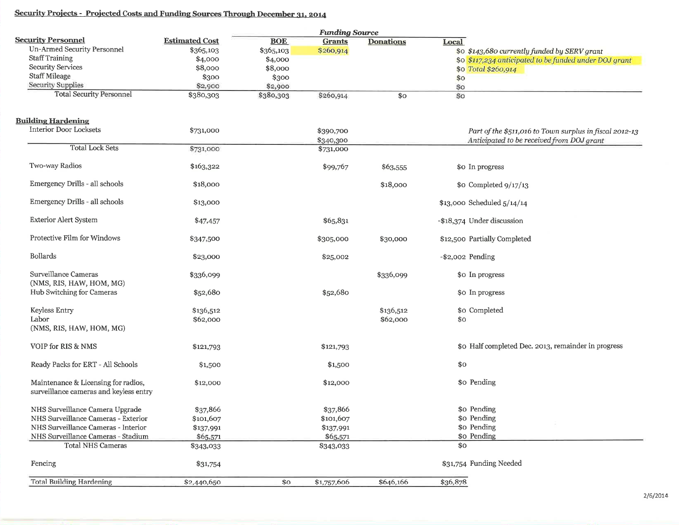# Security Projects - Projected Costs and Funding Sources Through December 31, 2014

|                                                                               |                       |            | <b>Funding Source</b>  |                  |                                                                                                      |
|-------------------------------------------------------------------------------|-----------------------|------------|------------------------|------------------|------------------------------------------------------------------------------------------------------|
| <b>Security Personnel</b>                                                     | <b>Estimated Cost</b> | <b>BOE</b> | <b>Grants</b>          | <b>Donations</b> | Local                                                                                                |
| <b>Un-Armed Security Personnel</b>                                            | \$365,103             | \$365,103  | \$260,914              |                  | \$0 \$143,680 currently funded by SERV grant                                                         |
| <b>Staff Training</b>                                                         | \$4,000               | \$4,000    |                        |                  | \$0 \$117,234 anticipated to be funded under DOJ grant                                               |
| <b>Security Services</b>                                                      | \$8,000               | \$8,000    |                        |                  | \$0 Total \$260,914                                                                                  |
| <b>Staff Mileage</b>                                                          | \$300                 | \$300      |                        |                  | \$o                                                                                                  |
| Security Supplies                                                             | \$2,900               | \$2,900    |                        |                  | \$o                                                                                                  |
| <b>Total Security Personnel</b>                                               | \$380,303             | \$380,303  | \$260,914              | \$o              | <b>So</b>                                                                                            |
| <b>Building Hardening</b>                                                     |                       |            |                        |                  |                                                                                                      |
| <b>Interior Door Locksets</b>                                                 | \$731,000             |            | \$390,700<br>\$340,300 |                  | Part of the \$511,016 to Town surplus in fiscal 2012-13<br>Anticipated to be received from DOJ grant |
| <b>Total Lock Sets</b>                                                        | \$731,000             |            | \$731,000              |                  |                                                                                                      |
| Two-way Radios                                                                | \$163,322             |            | \$99,767               | \$63,555         | \$0 In progress                                                                                      |
| Emergency Drills - all schools                                                | \$18,000              |            |                        | \$18,000         | \$0 Completed $9/17/13$                                                                              |
| Emergency Drills - all schools                                                | \$13,000              |            |                        |                  | \$13,000 Scheduled 5/14/14                                                                           |
| <b>Exterior Alert System</b>                                                  | \$47,457              |            | \$65,831               |                  | -\$18,374 Under discussion                                                                           |
| Protective Film for Windows                                                   | \$347,500             |            | \$305,000              | \$30,000         | \$12,500 Partially Completed                                                                         |
| <b>Bollards</b>                                                               | \$23,000              |            | \$25,002               |                  | -\$2,002 Pending                                                                                     |
| Surveillance Cameras<br>(NMS, RIS, HAW, HOM, MG)                              | \$336,099             |            |                        | \$336,099        | \$0 In progress                                                                                      |
| Hub Switching for Cameras                                                     | \$52,680              |            | \$52,680               |                  | \$0 In progress                                                                                      |
| Keyless Entry                                                                 | \$136,512             |            |                        | \$136,512        | \$0 Completed                                                                                        |
| Labor<br>(NMS, RIS, HAW, HOM, MG)                                             | \$62,000              |            |                        | \$62,000         | $\mathbf{S}$ O                                                                                       |
| VOIP for RIS & NMS                                                            | \$121,793             |            | \$121,793              |                  | \$0 Half completed Dec. 2013, remainder in progress                                                  |
| Ready Packs for ERT - All Schools                                             | \$1,500               |            | \$1,500                |                  | \$0                                                                                                  |
| Maintenance & Licensing for radios,<br>surveillance cameras and keyless entry | \$12,000              |            | \$12,000               |                  | \$0 Pending                                                                                          |
| NHS Surveillance Camera Upgrade                                               | \$37,866              |            | \$37,866               |                  | \$0 Pending                                                                                          |
| NHS Surveillance Cameras - Exterior                                           | \$101,607             |            | \$101,607              |                  | \$0 Pending                                                                                          |
| NHS Surveillance Cameras - Interior                                           | \$137,991             |            | \$137,991              |                  | \$0 Pending                                                                                          |
| NHS Surveillance Cameras - Stadium                                            | \$65,571              |            | \$65,571               |                  | \$0 Pending                                                                                          |
| <b>Total NHS Cameras</b>                                                      | \$343,033             |            | \$343,033              |                  | \$0                                                                                                  |
| Fencing                                                                       | \$31,754              |            |                        |                  | \$31,754 Funding Needed                                                                              |
| <b>Total Building Hardening</b>                                               | \$2,440,650           | \$0        | \$1,757,606            | \$646,166        | \$36,878                                                                                             |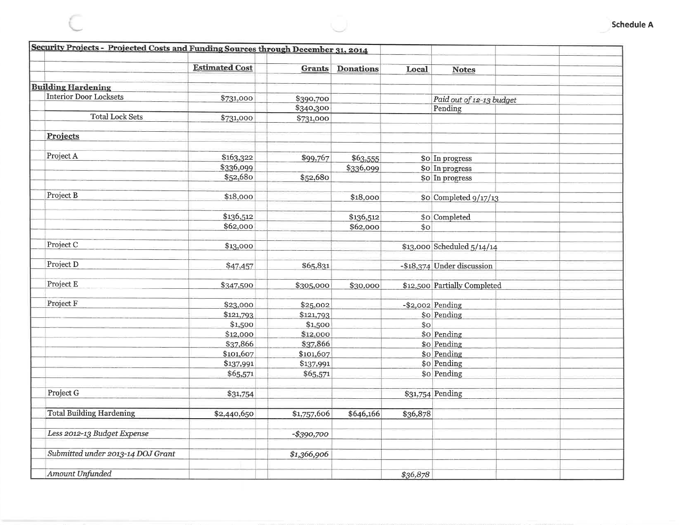| Security Projects - Projected Costs and Funding Sources through December 31, 2014 |                       |               |                       |                |                              |  |
|-----------------------------------------------------------------------------------|-----------------------|---------------|-----------------------|----------------|------------------------------|--|
|                                                                                   | <b>Estimated Cost</b> | <b>Grants</b> | <b>Donations</b>      | Local          | <b>Notes</b>                 |  |
|                                                                                   |                       |               |                       |                |                              |  |
| <b>Building Hardening</b>                                                         |                       |               |                       |                |                              |  |
| <b>Interior Door Locksets</b>                                                     | \$731,000             | \$390,700     |                       |                | Paid out of 12-13 budget     |  |
|                                                                                   |                       | \$340,300     |                       |                | Pending                      |  |
| <b>Total Lock Sets</b>                                                            | \$731,000             | \$731,000     |                       |                |                              |  |
|                                                                                   |                       |               |                       |                |                              |  |
| <b>Projects</b>                                                                   |                       |               |                       |                |                              |  |
|                                                                                   |                       |               |                       |                |                              |  |
| Project A                                                                         | \$163,322             | \$99,767      | \$63,555              |                | \$0 In progress              |  |
|                                                                                   | \$336,099             |               | \$336,099             |                | \$0 In progress              |  |
|                                                                                   | \$52,680              | \$52,680      |                       |                | \$0 In progress              |  |
| Project B                                                                         |                       |               |                       |                |                              |  |
|                                                                                   | \$18,000              |               | \$18,000              |                | \$0 Completed 9/17/13        |  |
|                                                                                   | \$136,512             |               |                       |                |                              |  |
|                                                                                   | \$62,000              |               | \$136,512<br>\$62,000 | s <sub>o</sub> | \$0 Completed                |  |
|                                                                                   |                       |               |                       |                |                              |  |
| Project C                                                                         | \$13,000              |               |                       |                | \$13,000 Scheduled 5/14/14   |  |
|                                                                                   |                       |               |                       |                |                              |  |
| Project D                                                                         | \$47,457              | \$65,831      |                       |                | -\$18,374 Under discussion   |  |
|                                                                                   |                       |               |                       |                |                              |  |
| Project E                                                                         | \$347,500             | \$305,000     | \$30,000              |                | \$12,500 Partially Completed |  |
| Project F                                                                         | \$23,000              | \$25,002      |                       |                | -\$2,002 Pending             |  |
|                                                                                   | \$121,793             | \$121,793     |                       |                | \$0 Pending                  |  |
|                                                                                   | \$1,500               | \$1,500       |                       | $$^{\circ}$    |                              |  |
|                                                                                   | \$12,000              | \$12,000      |                       |                | \$0 Pending                  |  |
|                                                                                   | \$37,866              | \$37,866      |                       |                | \$0 Pending                  |  |
|                                                                                   | \$101,607             | \$101,607     |                       |                | \$0 Pending                  |  |
|                                                                                   | \$137,991             | \$137,991     |                       |                | \$0 Pending                  |  |
|                                                                                   | \$65,571              | \$65,571      |                       |                | \$0 Pending                  |  |
|                                                                                   |                       |               |                       |                |                              |  |
| Project G                                                                         | \$31,754              |               |                       |                | \$31,754 Pending             |  |
| <b>Total Building Hardening</b>                                                   | \$2,440,650           | \$1,757,606   | \$646,166             | \$36,878       |                              |  |
|                                                                                   |                       |               |                       |                |                              |  |
| Less 2012-13 Budget Expense                                                       |                       | $-$ \$390,700 |                       |                |                              |  |
|                                                                                   |                       |               |                       |                |                              |  |
| Submitted under 2013-14 DOJ Grant                                                 |                       | \$1,366,906   |                       |                |                              |  |
| <b>Amount Unfunded</b>                                                            |                       |               |                       | \$36,878       |                              |  |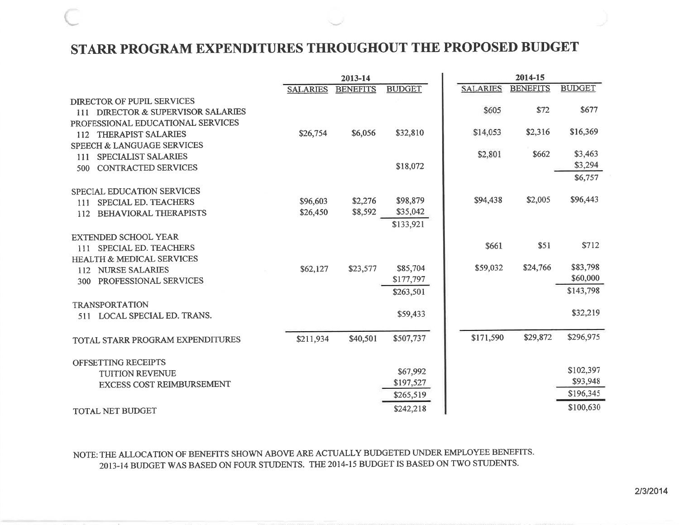# STARR PROGRAM EXPENDITURES THROUGHOUT THE PROPOSED BUDGET

|                 | 2013-14         |               |                 | 2014-15                                  |                                      |  |  |
|-----------------|-----------------|---------------|-----------------|------------------------------------------|--------------------------------------|--|--|
| <b>SALARIES</b> | <b>BENEFITS</b> | <b>BUDGET</b> | <b>SALARIES</b> | <b>BENEFITS</b>                          | <b>BUDGET</b>                        |  |  |
|                 |                 |               |                 |                                          |                                      |  |  |
|                 |                 |               |                 |                                          | \$677                                |  |  |
|                 |                 |               |                 |                                          |                                      |  |  |
| \$26,754        | \$6,056         | \$32,810      |                 |                                          | \$16,369                             |  |  |
|                 |                 |               |                 |                                          |                                      |  |  |
|                 |                 |               |                 |                                          | \$3,463                              |  |  |
|                 |                 | \$18,072      |                 |                                          | \$3,294                              |  |  |
|                 |                 |               |                 |                                          | \$6,757                              |  |  |
|                 |                 |               |                 |                                          |                                      |  |  |
| \$96,603        | \$2,276         | \$98,879      | \$94,438        | \$2,005                                  | \$96,443                             |  |  |
| \$26,450        | \$8,592         | \$35,042      |                 |                                          |                                      |  |  |
|                 |                 | \$133,921     |                 |                                          |                                      |  |  |
|                 |                 |               |                 |                                          |                                      |  |  |
|                 |                 |               | \$661           | \$51                                     | \$712                                |  |  |
|                 |                 |               |                 |                                          |                                      |  |  |
| \$62,127        | \$23,577        | \$85,704      |                 |                                          | \$83,798                             |  |  |
|                 |                 | \$177,797     |                 |                                          | \$60,000                             |  |  |
|                 |                 | \$263,501     |                 |                                          | \$143,798                            |  |  |
|                 |                 |               |                 |                                          |                                      |  |  |
|                 |                 | \$59,433      |                 |                                          | \$32,219                             |  |  |
|                 |                 |               |                 |                                          |                                      |  |  |
| \$211,934       | \$40,501        | \$507,737     | \$171,590       | \$29,872                                 | \$296,975                            |  |  |
|                 |                 |               |                 |                                          |                                      |  |  |
|                 |                 |               |                 |                                          |                                      |  |  |
|                 |                 | \$67,992      |                 |                                          | \$102,397                            |  |  |
|                 |                 | \$197,527     |                 |                                          | \$93,948                             |  |  |
|                 |                 | \$265,519     |                 |                                          | \$196,345                            |  |  |
|                 |                 |               |                 |                                          | \$100,630                            |  |  |
|                 |                 |               | \$242,218       | \$605<br>\$14,053<br>\$2,801<br>\$59,032 | \$72<br>\$2,316<br>\$662<br>\$24,766 |  |  |

# NOTE: THE ALLOCATION OF BENEFITS SHOWN ABOVE ARE ACTUALLY BUDGETED UNDER EMPLOYEE BENEFITS. 2013-14 BUDGET WAS BASED ON FOUR STUDENTS. THE 2014-15 BUDGET IS BASED ON TWO STUDENTS.

2/3/2014